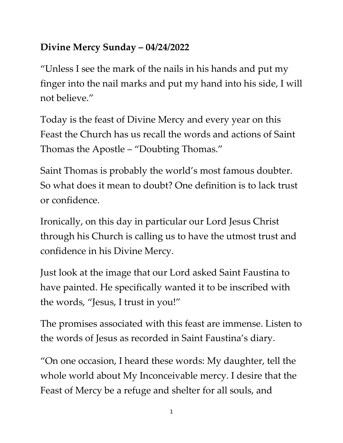## **Divine Mercy Sunday – 04/24/2022**

"Unless I see the mark of the nails in his hands and put my finger into the nail marks and put my hand into his side, I will not believe."

Today is the feast of Divine Mercy and every year on this Feast the Church has us recall the words and actions of Saint Thomas the Apostle – "Doubting Thomas."

Saint Thomas is probably the world's most famous doubter. So what does it mean to doubt? One definition is to lack trust or confidence.

Ironically, on this day in particular our Lord Jesus Christ through his Church is calling us to have the utmost trust and confidence in his Divine Mercy.

Just look at the image that our Lord asked Saint Faustina to have painted. He specifically wanted it to be inscribed with the words, "Jesus, I trust in you!"

The promises associated with this feast are immense. Listen to the words of Jesus as recorded in Saint Faustina's diary.

"On one occasion, I heard these words: My daughter, tell the whole world about My Inconceivable mercy. I desire that the Feast of Mercy be a refuge and shelter for all souls, and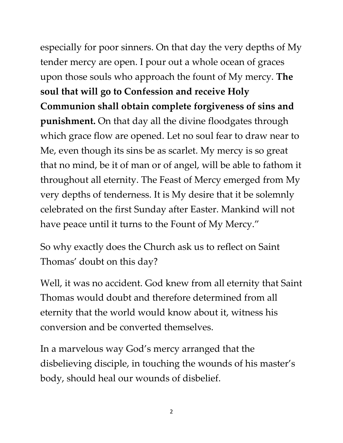especially for poor sinners. On that day the very depths of My tender mercy are open. I pour out a whole ocean of graces upon those souls who approach the fount of My mercy. **The soul that will go to Confession and receive Holy Communion shall obtain complete forgiveness of sins and punishment.** On that day all the divine floodgates through which grace flow are opened. Let no soul fear to draw near to Me, even though its sins be as scarlet. My mercy is so great that no mind, be it of man or of angel, will be able to fathom it throughout all eternity. The Feast of Mercy emerged from My very depths of tenderness. It is My desire that it be solemnly celebrated on the first Sunday after Easter. Mankind will not have peace until it turns to the Fount of My Mercy."

So why exactly does the Church ask us to reflect on Saint Thomas' doubt on this day?

Well, it was no accident. God knew from all eternity that Saint Thomas would doubt and therefore determined from all eternity that the world would know about it, witness his conversion and be converted themselves.

In a marvelous way God's mercy arranged that the disbelieving disciple, in touching the wounds of his master's body, should heal our wounds of disbelief.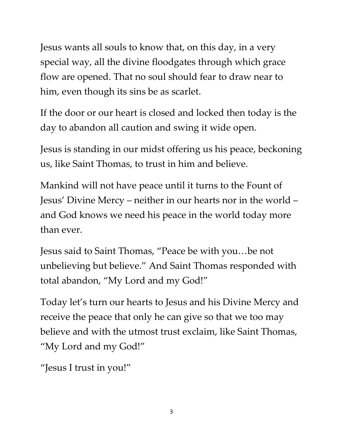Jesus wants all souls to know that, on this day, in a very special way, all the divine floodgates through which grace flow are opened. That no soul should fear to draw near to him, even though its sins be as scarlet.

If the door or our heart is closed and locked then today is the day to abandon all caution and swing it wide open.

Jesus is standing in our midst offering us his peace, beckoning us, like Saint Thomas, to trust in him and believe.

Mankind will not have peace until it turns to the Fount of Jesus' Divine Mercy – neither in our hearts nor in the world – and God knows we need his peace in the world today more than ever.

Jesus said to Saint Thomas, "Peace be with you…be not unbelieving but believe." And Saint Thomas responded with total abandon, "My Lord and my God!"

Today let's turn our hearts to Jesus and his Divine Mercy and receive the peace that only he can give so that we too may believe and with the utmost trust exclaim, like Saint Thomas, "My Lord and my God!"

"Jesus I trust in you!"